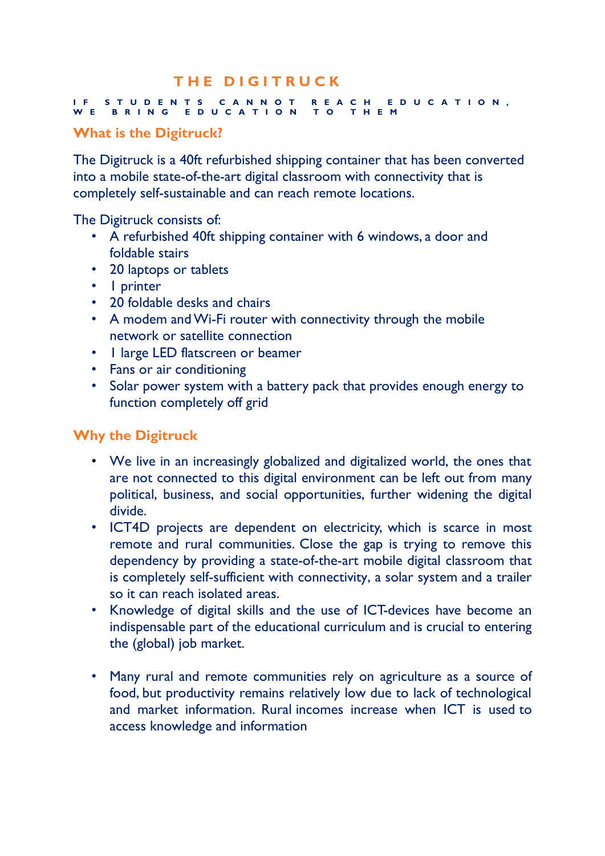# **T H E D I G I T R U C K**

#### **I F S T U D E N T S C A N N O T R E A C H E D U C A T I O N , W E B R I N G E D U C A T I O N T O T H E M**

# **What is the Digitruck?**

The Digitruck is a 40ft refurbished shipping container that has been converted into a mobile state-of-the-art digital classroom with connectivity that is completely self-sustainable and can reach remote locations.

The Digitruck consists of:

- A refurbished 40ft shipping container with 6 windows, a door and foldable stairs
- 20 laptops or tablets
- 1 printer
- 20 foldable desks and chairs
- A modem and Wi-Fi router with connectivity through the mobile network or satellite connection
- I large LED flatscreen or beamer
- Fans or air conditioning
- Solar power system with a battery pack that provides enough energy to function completely off grid

### **Why the Digitruck**

- We live in an increasingly globalized and digitalized world, the ones that are not connected to this digital environment can be left out from many political, business, and social opportunities, further widening the digital divide.
- ICT4D projects are dependent on electricity, which is scarce in most remote and rural communities. Close the gap is trying to remove this dependency by providing a state-of-the-art mobile digital classroom that is completely self-sufficient with connectivity, a solar system and a trailer so it can reach isolated areas.
- Knowledge of digital skills and the use of ICT-devices have become an indispensable part of the educational curriculum and is crucial to entering the (global) job market.
- Many rural and remote communities rely on agriculture as a source of food, but productivity remains relatively low due to lack of technological and market information. Rural incomes increase when ICT is used to access knowledge and information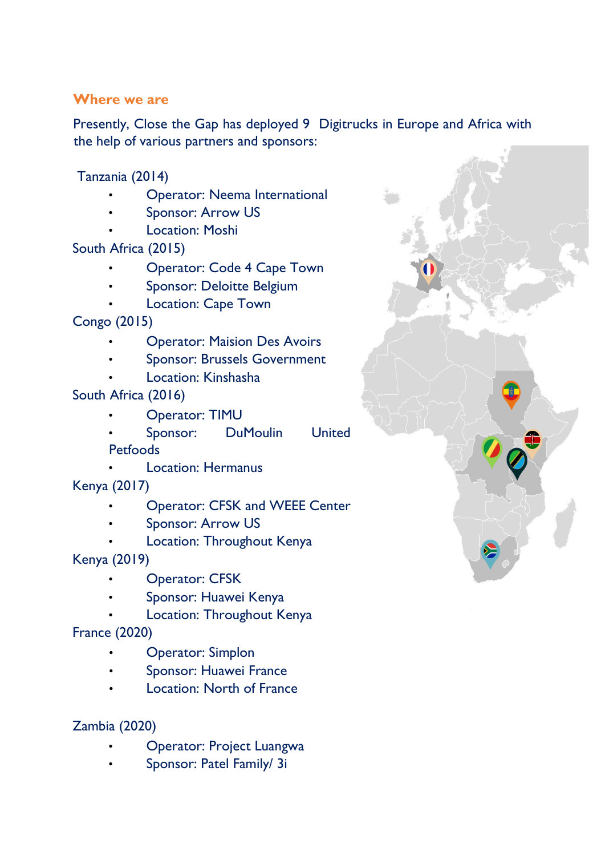#### **Where we are**

Presently, Close the Gap has deployed 9 Digitrucks in Europe and Africa with the help of various partners and sponsors:

Tanzania (2014)

- Operator: Neema International
- Sponsor: Arrow US
- **Location: Moshi**

South Africa (2015)

- Operator: Code 4 Cape Town
- Sponsor: Deloitte Belgium
- Location: Cape Town

Congo (2015)

- Operator: Maision Des Avoirs
- Sponsor: Brussels Government
- Location: Kinshasha

South Africa (2016)

• Operator: TIMU

Sponsor: DuMoulin United **Petfoods** 

- Location: Hermanus
- Kenya (2017)
	- Operator: CFSK and WEEE Center
	- Sponsor: Arrow US
	- Location: Throughout Kenya

Kenya (2019)

- Operator: CFSK
- Sponsor: Huawei Kenya
- Location: Throughout Kenya

France (2020)

- Operator: Simplon
- Sponsor: Huawei France
- Location: North of France

# Zambia (2020)

- Operator: Project Luangwa
- Sponsor: Patel Family/ 3i